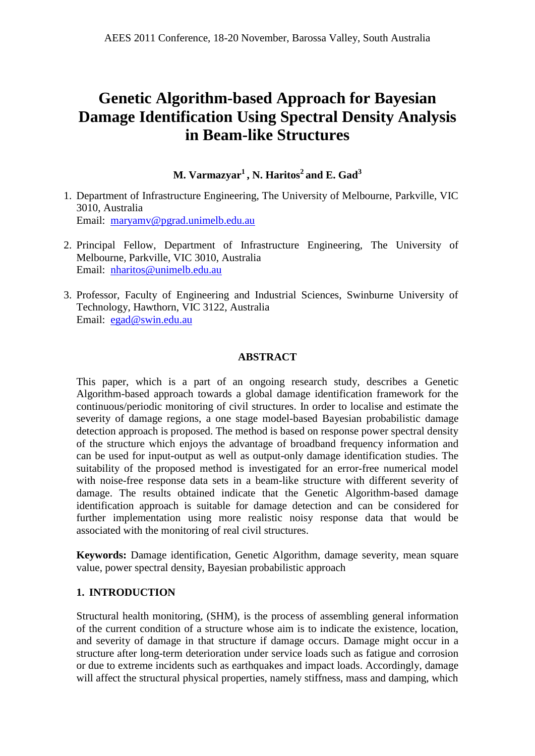# **Genetic Algorithm-based Approach for Bayesian Damage Identification Using Spectral Density Analysis in Beam-like Structures**

**M. Varmazyar<sup>1</sup> , N. Haritos<sup>2</sup> and E. Gad<sup>3</sup>**

- 1. Department of Infrastructure Engineering, The University of Melbourne, Parkville, VIC 3010, Australia Email: [maryamv@pgrad.unimelb.edu.au](mailto:maryamv@pgrad.unimelb.edu.au)
- 2. Principal Fellow, Department of Infrastructure Engineering, The University of Melbourne, Parkville, VIC 3010, Australia Email: [nharitos@unimelb.edu.au](mailto:nharitos@unimelb.edu.au)
- 3. Professor, Faculty of Engineering and Industrial Sciences, Swinburne University of Technology, Hawthorn, VIC 3122, Australia Email: [egad@swin.edu.au](mailto:egad@swin.edu.au)

# **ABSTRACT**

This paper, which is a part of an ongoing research study, describes a Genetic Algorithm-based approach towards a global damage identification framework for the continuous/periodic monitoring of civil structures. In order to localise and estimate the severity of damage regions, a one stage model-based Bayesian probabilistic damage detection approach is proposed. The method is based on response power spectral density of the structure which enjoys the advantage of broadband frequency information and can be used for input-output as well as output-only damage identification studies. The suitability of the proposed method is investigated for an error-free numerical model with noise-free response data sets in a beam-like structure with different severity of damage. The results obtained indicate that the Genetic Algorithm-based damage identification approach is suitable for damage detection and can be considered for further implementation using more realistic noisy response data that would be associated with the monitoring of real civil structures.

**Keywords:** Damage identification, Genetic Algorithm, damage severity, mean square value, power spectral density, Bayesian probabilistic approach

## **1. INTRODUCTION**

Structural health monitoring, (SHM), is the process of assembling general information of the current condition of a structure whose aim is to indicate the existence, location, and severity of damage in that structure if damage occurs. Damage might occur in a structure after long-term deterioration under service loads such as fatigue and corrosion or due to extreme incidents such as earthquakes and impact loads. Accordingly, damage will affect the structural physical properties, namely stiffness, mass and damping, which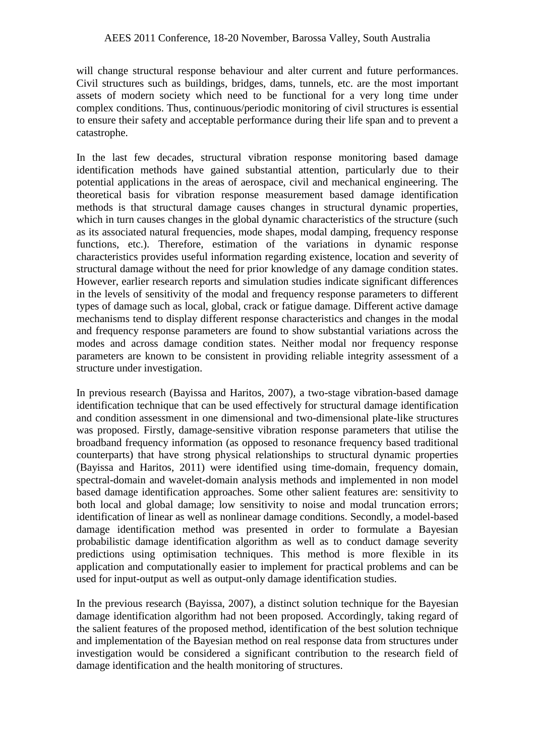will change structural response behaviour and alter current and future performances. Civil structures such as buildings, bridges, dams, tunnels, etc. are the most important assets of modern society which need to be functional for a very long time under complex conditions. Thus, continuous/periodic monitoring of civil structures is essential to ensure their safety and acceptable performance during their life span and to prevent a catastrophe.

In the last few decades, structural vibration response monitoring based damage identification methods have gained substantial attention, particularly due to their potential applications in the areas of aerospace, civil and mechanical engineering. The theoretical basis for vibration response measurement based damage identification methods is that structural damage causes changes in structural dynamic properties, which in turn causes changes in the global dynamic characteristics of the structure (such as its associated natural frequencies, mode shapes, modal damping, frequency response functions, etc.). Therefore, estimation of the variations in dynamic response characteristics provides useful information regarding existence, location and severity of structural damage without the need for prior knowledge of any damage condition states. However, earlier research reports and simulation studies indicate significant differences in the levels of sensitivity of the modal and frequency response parameters to different types of damage such as local, global, crack or fatigue damage. Different active damage mechanisms tend to display different response characteristics and changes in the modal and frequency response parameters are found to show substantial variations across the modes and across damage condition states. Neither modal nor frequency response parameters are known to be consistent in providing reliable integrity assessment of a structure under investigation.

In previous research (Bayissa and Haritos, 2007), a two-stage vibration-based damage identification technique that can be used effectively for structural damage identification and condition assessment in one dimensional and two-dimensional plate-like structures was proposed. Firstly, damage-sensitive vibration response parameters that utilise the broadband frequency information (as opposed to resonance frequency based traditional counterparts) that have strong physical relationships to structural dynamic properties (Bayissa and Haritos, 2011) were identified using time-domain, frequency domain, spectral-domain and wavelet-domain analysis methods and implemented in non model based damage identification approaches. Some other salient features are: sensitivity to both local and global damage; low sensitivity to noise and modal truncation errors; identification of linear as well as nonlinear damage conditions. Secondly, a model-based damage identification method was presented in order to formulate a Bayesian probabilistic damage identification algorithm as well as to conduct damage severity predictions using optimisation techniques. This method is more flexible in its application and computationally easier to implement for practical problems and can be used for input-output as well as output-only damage identification studies.

In the previous research (Bayissa, 2007), a distinct solution technique for the Bayesian damage identification algorithm had not been proposed. Accordingly, taking regard of the salient features of the proposed method, identification of the best solution technique and implementation of the Bayesian method on real response data from structures under investigation would be considered a significant contribution to the research field of damage identification and the health monitoring of structures.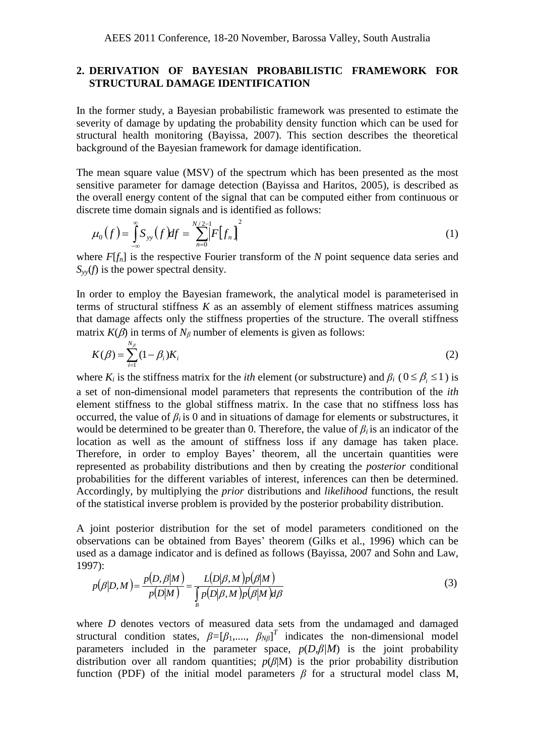## **2. DERIVATION OF BAYESIAN PROBABILISTIC FRAMEWORK FOR STRUCTURAL DAMAGE IDENTIFICATION**

In the former study, a Bayesian probabilistic framework was presented to estimate the severity of damage by updating the probability density function which can be used for structural health monitoring (Bayissa, 2007). This section describes the theoretical background of the Bayesian framework for damage identification.

The mean square value (MSV) of the spectrum which has been presented as the most sensitive parameter for damage detection (Bayissa and Haritos, 2005), is described as the overall energy content of the signal that can be computed either from continuous or discrete time domain signals and is identified as follows:

$$
\mu_0(f) = \int_{-\infty}^{\infty} S_{yy}(f) df = \sum_{n=0}^{N/2-1} [F[f_n]]^2
$$
 (1)

where *F*[*f<sub>n</sub>*] is the respective Fourier transform of the *N* point sequence data series and  $S_{yy}(f)$  is the power spectral density.

In order to employ the Bayesian framework, the analytical model is parameterised in terms of structural stiffness *K* as an assembly of element stiffness matrices assuming that damage affects only the stiffness properties of the structure. The overall stiffness matrix  $K(\beta)$  in terms of  $N_\beta$  number of elements is given as follows:

$$
K(\beta) = \sum_{i=1}^{N_{\beta}} (1 - \beta_i) K_i
$$
 (2)

where  $K_i$  is the stiffness matrix for the *ith* element (or substructure) and  $\beta_i$  ( $0 \le \beta_i \le 1$ ) is a set of non-dimensional model parameters that represents the contribution of the *ith* element stiffness to the global stiffness matrix. In the case that no stiffness loss has occurred, the value of  $\beta_i$  is 0 and in situations of damage for elements or substructures, it would be determined to be greater than 0. Therefore, the value of *βi* is an indicator of the location as well as the amount of stiffness loss if any damage has taken place. Therefore, in order to employ Bayes' theorem, all the uncertain quantities were represented as probability distributions and then by creating the *posterior* conditional probabilities for the different variables of interest, inferences can then be determined. Accordingly, by multiplying the *prior* distributions and *likelihood* functions, the result of the statistical inverse problem is provided by the posterior probability distribution.

A joint posterior distribution for the set of model parameters conditioned on the observations can be obtained from Bayes' theorem (Gilks et al., 1996) which can be used as a damage indicator and is defined as follows (Bayissa, 2007 and Sohn and Law, 1997):

$$
p(\beta|D,M) = \frac{p(D,\beta|M)}{p(D|M)} = \frac{L(D|\beta,M)p(\beta|M)}{\int_{B} p(D|\beta,M)p(\beta|M)d\beta}
$$
(3)

where *D* denotes vectors of measured data sets from the undamaged and damaged structural condition states,  $\beta = [\beta_1, ..., \beta_{N\beta}]^T$  indicates the non-dimensional model parameters included in the parameter space,  $p(D,\beta/M)$  is the joint probability distribution over all random quantities;  $p(\beta|M)$  is the prior probability distribution function (PDF) of the initial model parameters  $\beta$  for a structural model class M,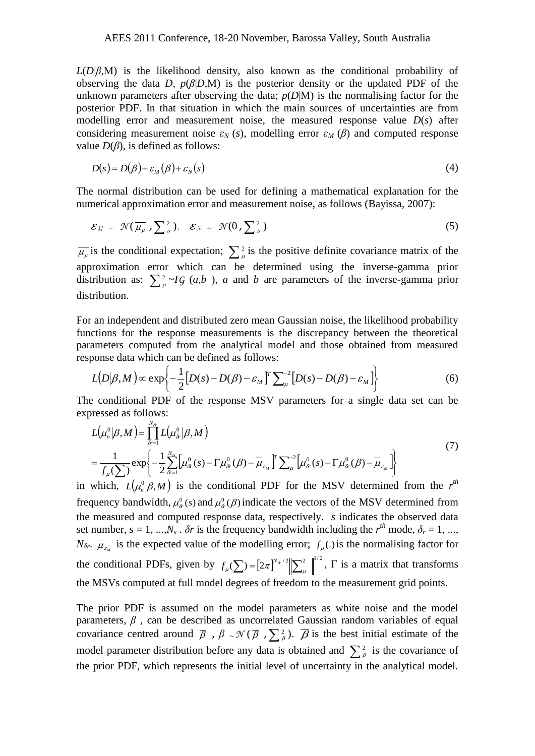$L(D|\beta,M)$  is the likelihood density, also known as the conditional probability of observing the data *D*,  $p(\beta|D,M)$  is the posterior density or the updated PDF of the unknown parameters after observing the data;  $p(D|M)$  is the normalising factor for the posterior PDF. In that situation in which the main sources of uncertainties are from modelling error and measurement noise, the measured response value *D*(*s*) after considering measurement noise  $\varepsilon_N$  (*s*), modelling error  $\varepsilon_M$  (*β*) and computed response value *D*(*β*), is defined as follows:

$$
D(s) = D(\beta) + \varepsilon_M(\beta) + \varepsilon_N(s)
$$
\n<sup>(4)</sup>

The normal distribution can be used for defining a mathematical explanation for the numerical approximation error and measurement noise, as follows (Bayissa, 2007):

$$
\mathcal{E}_M \sim \mathcal{N}(\overline{\mu_\mu}, \sum_{\mu}^2), \quad \mathcal{E}_N \sim \mathcal{N}(0, \sum_{\mu}^2)
$$
 (5)

 $\overline{\mu}_{\mu}$  is the conditional expectation;  $\sum_{\mu}^{2}$  is the positive definite covariance matrix of the approximation error which can be determined using the inverse-gamma prior distribution as:  $\sum_{\mu}^{2} \sim I \cdot G$  (*a*,*b*), *a* and *b* are parameters of the inverse-gamma prior distribution.

For an independent and distributed zero mean Gaussian noise, the likelihood probability functions for the response measurements is the discrepancy between the theoretical parameters computed from the analytical model and those obtained from measured response data which can be defined as follows:

$$
L(D|\beta, M) \propto \exp\left\{-\frac{1}{2}[D(s) - D(\beta) - \varepsilon_M]^T \sum_{\mu}^{-2} [D(s) - D(\beta) - \varepsilon_M]\right\}
$$
(6)

The conditional PDF of the response MSV parameters for a single data set can be expressed as follows:

$$
L(\mu_n^0|\beta, M) = \prod_{\delta r=1}^{N_{\delta r}} L(\mu_{\delta r}^0|\beta, M)
$$
  
= 
$$
\frac{1}{f_{\mu}(\sum)} \exp\left\{-\frac{1}{2} \sum_{\delta r=1}^{N_{\delta r}} \left[\mu_{\delta r}^0(s) - \Gamma \mu_{\delta r}^0(\beta) - \overline{\mu}_{\varepsilon_M}\right]^{r} \sum_{\mu}^{-2} \left[\mu_{\delta r}^0(s) - \Gamma \mu_{\delta r}^0(\beta) - \overline{\mu}_{\varepsilon_M}\right]\right\}
$$
(7)

in which,  $L(\mu_n^0|\beta,M)$  is the conditional PDF for the MSV determined from the  $r^{\text{th}}$ frequency bandwidth,  $\mu^0_{\delta r}(s)$  and  $\mu^0_{\delta r}(\beta)$  indicate the vectors of the MSV determined from the measured and computed response data, respectively. *s* indicates the observed data set number,  $s = 1, ..., N_s$ .  $\delta r$  is the frequency bandwidth including the  $r^{th}$  mode,  $\delta_r = 1, ...,$  $N_{\delta r}$ .  $\overline{\mu}_{\varepsilon_M}$  is the expected value of the modelling error;  $f_{\mu}$ . is the normalising factor for the conditional PDFs, given by  $f_u(\sum) = [2\pi]^{N_s/2} \left\| \sum_{i=1}^2 \right\|^{1/2}$  $f_{\mu}(\sum) = [2\pi]^{N_{\alpha}/2} \sqrt{\sum_{\mu}^2 \mu^2}$ ,  $\Gamma$  is a matrix that transforms the MSVs computed at full model degrees of freedom to the measurement grid points.

The prior PDF is assumed on the model parameters as white noise and the model parameters,  $\beta$ , can be described as uncorrelated Gaussian random variables of equal covariance centred around  $\overline{\beta}$ ,  $\beta \sim \mathcal{N}(\overline{\beta}, \sum_{\beta}^{2})$ .  $\overline{\beta}$  is the best initial estimate of the model parameter distribution before any data is obtained and  $\sum_{\beta}^2$  is the covariance of the prior PDF, which represents the initial level of uncertainty in the analytical model.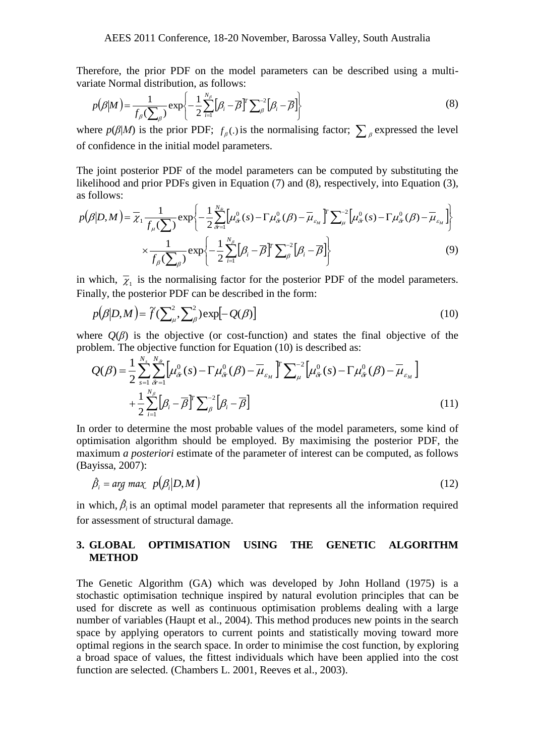Therefore, the prior PDF on the model parameters can be described using a multivariate Normal distribution, as follows:

$$
p(\beta|M) = \frac{1}{f_{\beta}(\sum_{\beta})} \exp\left\{-\frac{1}{2} \sum_{i=1}^{N_{\beta}} [\beta_i - \overline{\beta}]^T \sum_{\beta}^{-2} [\beta_i - \overline{\beta}] \right\}
$$
(8)

where  $p(\beta|M)$  is the prior PDF;  $f_\beta(.)$  is the normalising factor;  $\sum_\beta$  expressed the level of confidence in the initial model parameters.

The joint posterior PDF of the model parameters can be computed by substituting the likelihood and prior PDFs given in Equation (7) and (8), respectively, into Equation (3), as follows:

$$
p(\beta|D,M) = \overline{\chi}_1 \frac{1}{f_\mu(\sum)} \exp\left\{-\frac{1}{2} \sum_{\delta=1}^{N_{\delta}} \left[\mu_{\delta r}^0(s) - \Gamma \mu_{\delta r}^0(\beta) - \overline{\mu}_{\varepsilon_M}\right] \sum_{\mu}^{-2} \left[\mu_{\delta r}^0(s) - \Gamma \mu_{\delta r}^0(\beta) - \overline{\mu}_{\varepsilon_M}\right]\right\}
$$

$$
\times \frac{1}{f_\beta(\sum_\beta)} \exp\left\{-\frac{1}{2} \sum_{i=1}^{N_\beta} \left[\beta_i - \overline{\beta}\right] \sum_{\beta}^{-2} \left[\beta_i - \overline{\beta}\right]\right\}
$$
(9)

in which,  $\overline{\chi}_1$  is the normalising factor for the posterior PDF of the model parameters. Finally, the posterior PDF can be described in the form:

$$
p(\beta|D,M) = \tilde{f}(\sum_{\mu}^{2}, \sum_{\beta}^{2}) \exp[-Q(\beta)] \tag{10}
$$

where  $Q(\beta)$  is the objective (or cost-function) and states the final objective of the problem. The objective function for Equation (10) is described as:

$$
Q(\beta) = \frac{1}{2} \sum_{s=1}^{N_s} \sum_{\delta r=1}^{N_{\delta r}} \left[ \mu_{\delta r}^0(s) - \Gamma \mu_{\delta r}^0(\beta) - \overline{\mu}_{\delta M} \right]^T \sum_{\mu}^{-2} \left[ \mu_{\delta r}^0(s) - \Gamma \mu_{\delta r}^0(\beta) - \overline{\mu}_{\delta M} \right]
$$
  
+ 
$$
\frac{1}{2} \sum_{i=1}^{N_\beta} \left[ \beta_i - \overline{\beta} \right]^T \sum_{\beta}^{-2} \left[ \beta_i - \overline{\beta} \right]
$$
(11)

In order to determine the most probable values of the model parameters, some kind of optimisation algorithm should be employed. By maximising the posterior PDF, the maximum *a posteriori* estimate of the parameter of interest can be computed, as follows (Bayissa, 2007):

$$
\hat{\beta}_i = \arg \max \ \ p(\beta_i | D, M) \tag{12}
$$

in which,  $\hat{\beta}_i$  is an optimal model parameter that represents all the information required for assessment of structural damage.

## **3. GLOBAL OPTIMISATION USING THE GENETIC ALGORITHM METHOD**

The Genetic Algorithm (GA) which was developed by John Holland (1975) is a stochastic optimisation technique inspired by natural evolution principles that can be used for discrete as well as continuous optimisation problems dealing with a large number of variables (Haupt et al., 2004). This method produces new points in the search space by applying operators to current points and statistically moving toward more optimal regions in the search space. In order to minimise the cost function, by exploring a broad space of values, the fittest individuals which have been applied into the cost function are selected. (Chambers L. 2001, Reeves et al., 2003).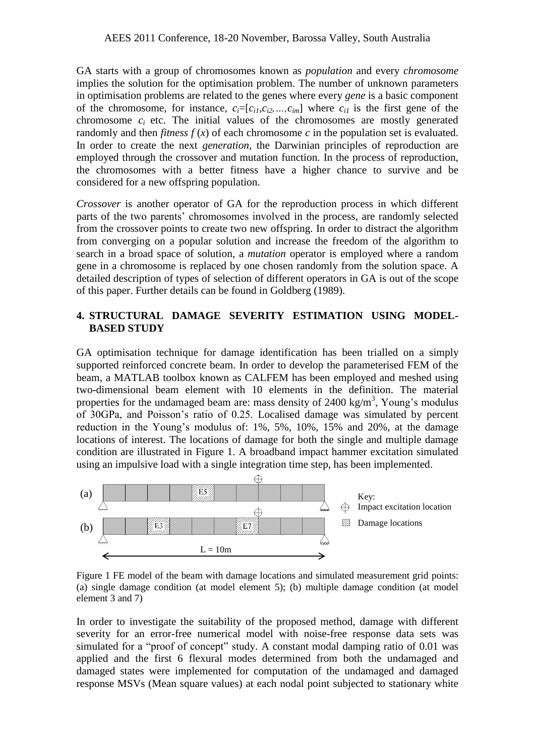GA starts with a group of chromosomes known as *population* and every *chromosome* implies the solution for the optimisation problem. The number of unknown parameters in optimisation problems are related to the genes where every *gene* is a basic component of the chromosome, for instance,  $c_i = [c_{i1}, c_{i2}, ..., c_{im}]$  where  $c_{i1}$  is the first gene of the chromosome  $c_i$  etc. The initial values of the chromosomes are mostly generated randomly and then *fitness*  $f(x)$  of each chromosome  $c$  in the population set is evaluated. In order to create the next *generation*, the Darwinian principles of reproduction are employed through the crossover and mutation function. In the process of reproduction, the chromosomes with a better fitness have a higher chance to survive and be considered for a new offspring population.

*Crossover* is another operator of GA for the reproduction process in which different parts of the two parents' chromosomes involved in the process, are randomly selected from the crossover points to create two new offspring. In order to distract the algorithm from converging on a popular solution and increase the freedom of the algorithm to search in a broad space of solution, a *mutation* operator is employed where a random gene in a chromosome is replaced by one chosen randomly from the solution space. A detailed description of types of selection of different operators in GA is out of the scope of this paper. Further details can be found in Goldberg (1989).

# **4. STRUCTURAL DAMAGE SEVERITY ESTIMATION USING MODEL-BASED STUDY**

GA optimisation technique for damage identification has been trialled on a simply supported reinforced concrete beam. In order to develop the parameterised FEM of the beam, a MATLAB toolbox known as CALFEM has been employed and meshed using two-dimensional beam element with 10 elements in the definition. The material properties for the undamaged beam are: mass density of  $2400 \text{ kg/m}^3$ , Young's modulus of 30GPa, and Poisson's ratio of 0.25. Localised damage was simulated by percent reduction in the Young's modulus of: 1%, 5%, 10%, 15% and 20%, at the damage locations of interest. The locations of damage for both the single and multiple damage condition are illustrated in Figure 1. A broadband impact hammer excitation simulated using an impulsive load with a single integration time step, has been implemented.



Figure 1 FE model of the beam with damage locations and simulated measurement grid points: (a) single damage condition (at model element 5); (b) multiple damage condition (at model element 3 and 7)

In order to investigate the suitability of the proposed method, damage with different severity for an error-free numerical model with noise-free response data sets was simulated for a "proof of concept" study. A constant modal damping ratio of 0.01 was applied and the first 6 flexural modes determined from both the undamaged and damaged states were implemented for computation of the undamaged and damaged response MSVs (Mean square values) at each nodal point subjected to stationary white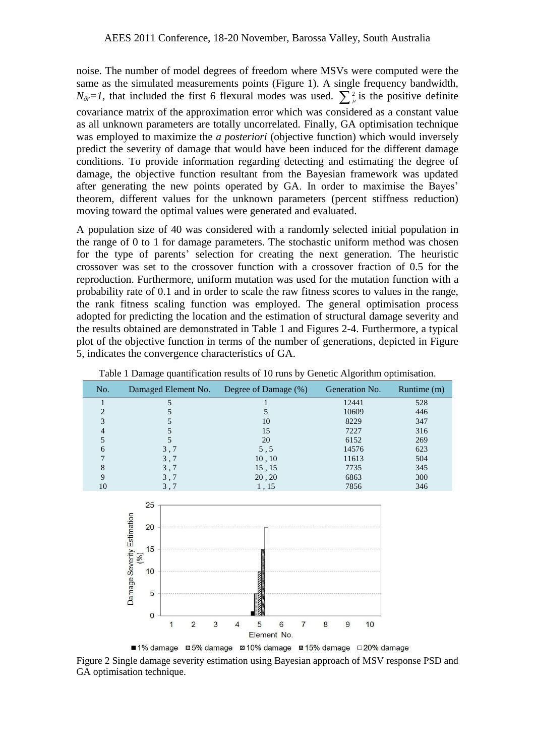noise. The number of model degrees of freedom where MSVs were computed were the same as the simulated measurements points (Figure 1). A single frequency bandwidth,  $N_{\delta r} = 1$ , that included the first 6 flexural modes was used.  $\sum_{\mu=1}^{n}$  is the positive definite covariance matrix of the approximation error which was considered as a constant value as all unknown parameters are totally uncorrelated. Finally, GA optimisation technique was employed to maximize the *a posteriori* (objective function) which would inversely predict the severity of damage that would have been induced for the different damage conditions. To provide information regarding detecting and estimating the degree of damage, the objective function resultant from the Bayesian framework was updated after generating the new points operated by GA. In order to maximise the Bayes' theorem, different values for the unknown parameters (percent stiffness reduction) moving toward the optimal values were generated and evaluated.

A population size of 40 was considered with a randomly selected initial population in the range of 0 to 1 for damage parameters. The stochastic uniform method was chosen for the type of parents' selection for creating the next generation. The heuristic crossover was set to the crossover function with a crossover fraction of 0.5 for the reproduction. Furthermore, uniform mutation was used for the mutation function with a probability rate of 0.1 and in order to scale the raw fitness scores to values in the range, the rank fitness scaling function was employed. The general optimisation process adopted for predicting the location and the estimation of structural damage severity and the results obtained are demonstrated in Table 1 and Figures 2-4. Furthermore, a typical plot of the objective function in terms of the number of generations, depicted in Figure 5, indicates the convergence characteristics of GA.

| No. |                      | Damaged Element No. Degree of Damage (%) | Generation No. | Runtime (m) |
|-----|----------------------|------------------------------------------|----------------|-------------|
|     | 5                    |                                          | 12441          | 528         |
| າ   |                      |                                          | 10609          | 446         |
| 3   |                      | 10                                       | 8229           | 347         |
| 4   |                      | 15                                       | 7227           | 316         |
|     |                      | 20                                       | 6152           | 269         |
| 6   | 3,7                  | 5, 5                                     | 14576          | 623         |
|     | 3,7                  | 10, 10                                   | 11613          | 504         |
| 8   | 3,7                  | 15, 15                                   | 7735           | 345         |
| 9   | 3,7                  | 20, 20                                   | 6863           | 300         |
| 10  | 3,7                  | 1,15                                     | 7856           | 346         |
|     | 25<br>timation<br>20 |                                          |                |             |

|  | Table 1 Damage quantification results of 10 runs by Genetic Algorithm optimisation. |  |  |  |
|--|-------------------------------------------------------------------------------------|--|--|--|
|  |                                                                                     |  |  |  |



■1% damage ■5% damage **ø 10% damage ■15% damage** □ 20% damage

Figure 2 Single damage severity estimation using Bayesian approach of MSV response PSD and GA optimisation technique.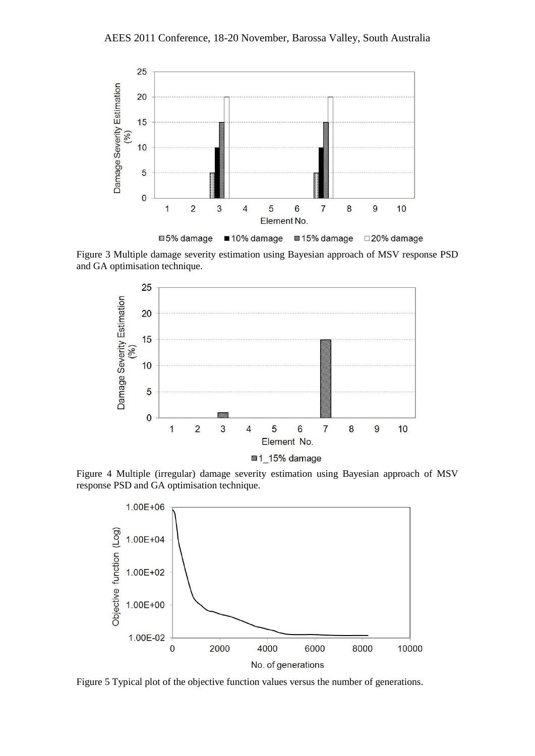

Figure 3 Multiple damage severity estimation using Bayesian approach of MSV response PSD and GA optimisation technique.



Figure 4 Multiple (irregular) damage severity estimation using Bayesian approach of MSV response PSD and GA optimisation technique.



Figure 5 Typical plot of the objective function values versus the number of generations.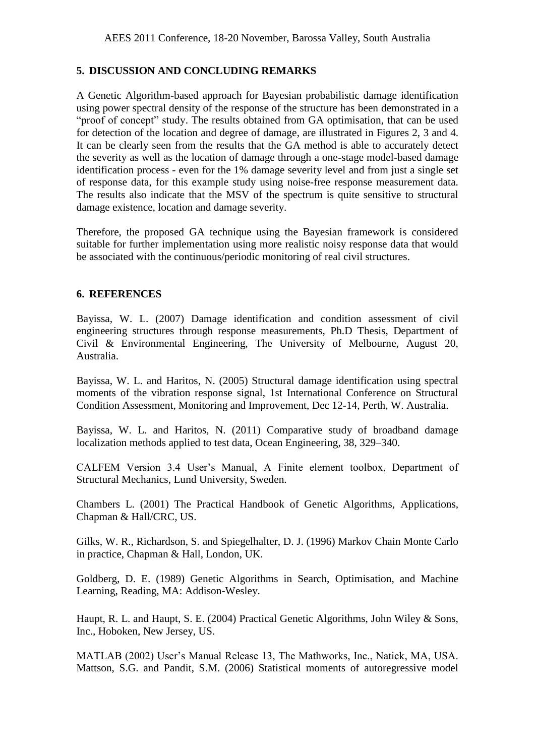# **5. DISCUSSION AND CONCLUDING REMARKS**

A Genetic Algorithm-based approach for Bayesian probabilistic damage identification using power spectral density of the response of the structure has been demonstrated in a "proof of concept" study. The results obtained from GA optimisation, that can be used for detection of the location and degree of damage, are illustrated in Figures 2, 3 and 4. It can be clearly seen from the results that the GA method is able to accurately detect the severity as well as the location of damage through a one-stage model-based damage identification process - even for the 1% damage severity level and from just a single set of response data, for this example study using noise-free response measurement data. The results also indicate that the MSV of the spectrum is quite sensitive to structural damage existence, location and damage severity.

Therefore, the proposed GA technique using the Bayesian framework is considered suitable for further implementation using more realistic noisy response data that would be associated with the continuous/periodic monitoring of real civil structures.

## **6. REFERENCES**

Bayissa, W. L. (2007) Damage identification and condition assessment of civil engineering structures through response measurements, Ph.D Thesis, Department of Civil & Environmental Engineering, The University of Melbourne, August 20, Australia.

Bayissa, W. L. and Haritos, N. (2005) Structural damage identification using spectral moments of the vibration response signal, 1st International Conference on Structural Condition Assessment, Monitoring and Improvement, Dec 12-14, Perth, W. Australia.

Bayissa, W. L. and Haritos, N. (2011) Comparative study of broadband damage localization methods applied to test data, Ocean Engineering, 38, 329–340.

CALFEM Version 3.4 User's Manual, A Finite element toolbox, Department of Structural Mechanics, Lund University, Sweden.

Chambers L. (2001) The Practical Handbook of Genetic Algorithms, Applications, Chapman & Hall/CRC, US.

Gilks, W. R., Richardson, S. and Spiegelhalter, D. J. (1996) Markov Chain Monte Carlo in practice, Chapman & Hall, London, UK.

Goldberg, D. E. (1989) Genetic Algorithms in Search, Optimisation, and Machine Learning, Reading, MA: Addison-Wesley.

Haupt, R. L. and Haupt, S. E. (2004) Practical Genetic Algorithms, John Wiley & Sons, Inc., Hoboken, New Jersey, US.

MATLAB (2002) User's Manual Release 13, The Mathworks, Inc., Natick, MA, USA. Mattson, S.G. and Pandit, S.M. (2006) Statistical moments of autoregressive model